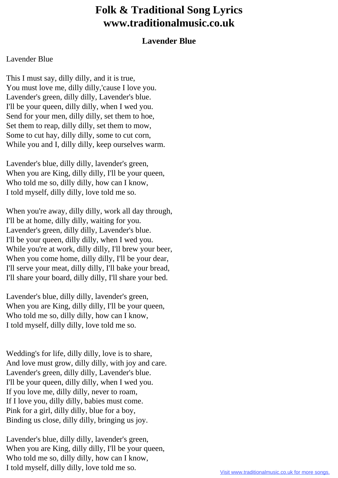## **Folk & Traditional Song Lyrics www.traditionalmusic.co.uk**

## **Lavender Blue**

## Lavender Blue

This I must say, dilly dilly, and it is true, You must love me, dilly dilly,'cause I love you. Lavender's green, dilly dilly, Lavender's blue. I'll be your queen, dilly dilly, when I wed you. Send for your men, dilly dilly, set them to hoe, Set them to reap, dilly dilly, set them to mow, Some to cut hay, dilly dilly, some to cut corn, While you and I, dilly dilly, keep ourselves warm.

Lavender's blue, dilly dilly, lavender's green, When you are King, dilly dilly, I'll be your queen, Who told me so, dilly dilly, how can I know, I told myself, dilly dilly, love told me so.

When you're away, dilly dilly, work all day through, I'll be at home, dilly dilly, waiting for you. Lavender's green, dilly dilly, Lavender's blue. I'll be your queen, dilly dilly, when I wed you. While you're at work, dilly dilly, I'll brew your beer, When you come home, dilly dilly, I'll be your dear, I'll serve your meat, dilly dilly, I'll bake your bread, I'll share your board, dilly dilly, I'll share your bed.

Lavender's blue, dilly dilly, lavender's green, When you are King, dilly dilly, I'll be your queen, Who told me so, dilly dilly, how can I know, I told myself, dilly dilly, love told me so.

Wedding's for life, dilly dilly, love is to share, And love must grow, dilly dilly, with joy and care. Lavender's green, dilly dilly, Lavender's blue. I'll be your queen, dilly dilly, when I wed you. If you love me, dilly dilly, never to roam, If I love you, dilly dilly, babies must come. Pink for a girl, dilly dilly, blue for a boy, Binding us close, dilly dilly, bringing us joy.

Lavender's blue, dilly dilly, lavender's green, When you are King, dilly dilly, I'll be your queen, Who told me so, dilly dilly, how can I know, I told myself, dilly dilly, love told me so.